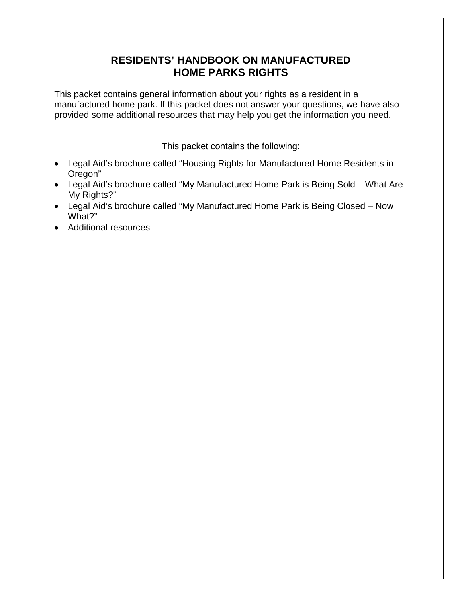# **RESIDENTS' HANDBOOK ON MANUFACTURED HOME PARKS RIGHTS**

This packet contains general information about your rights as a resident in a manufactured home park. If this packet does not answer your questions, we have also provided some additional resources that may help you get the information you need.

This packet contains the following:

- Legal Aid's brochure called "Housing Rights for Manufactured Home Residents in Oregon"
- Legal Aid's brochure called "My Manufactured Home Park is Being Sold What Are My Rights?"
- Legal Aid's brochure called "My Manufactured Home Park is Being Closed Now What?"
- Additional resources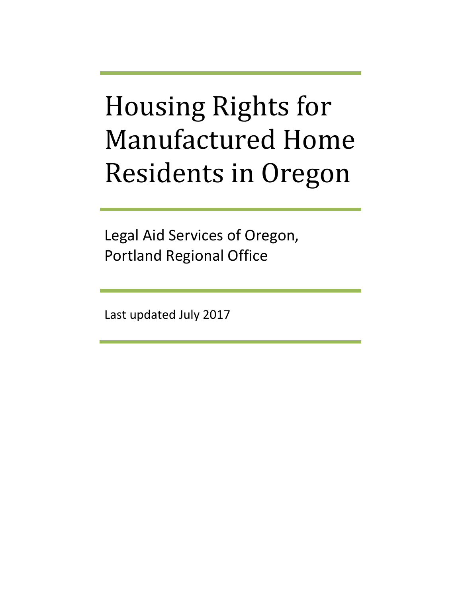# Housing Rights for Manufactured Home Residents in Oregon

Legal Aid Services of Oregon, Portland Regional Office

Last updated July 2017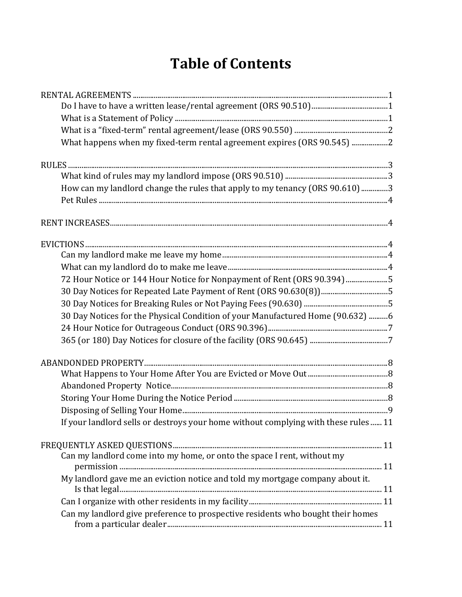# **Table of Contents**

| What happens when my fixed-term rental agreement expires (ORS 90.545) 2             |  |
|-------------------------------------------------------------------------------------|--|
|                                                                                     |  |
|                                                                                     |  |
| How can my landlord change the rules that apply to my tenancy (ORS 90.610)3         |  |
|                                                                                     |  |
|                                                                                     |  |
|                                                                                     |  |
|                                                                                     |  |
|                                                                                     |  |
| 72 Hour Notice or 144 Hour Notice for Nonpayment of Rent (ORS 90.394) 5             |  |
|                                                                                     |  |
|                                                                                     |  |
| 30 Day Notices for the Physical Condition of your Manufactured Home (90.632) 6      |  |
|                                                                                     |  |
|                                                                                     |  |
|                                                                                     |  |
|                                                                                     |  |
|                                                                                     |  |
|                                                                                     |  |
|                                                                                     |  |
| If your landlord sells or destroys your home without complying with these rules  11 |  |
|                                                                                     |  |
| Can my landlord come into my home, or onto the space I rent, without my             |  |
|                                                                                     |  |
| My landlord gave me an eviction notice and told my mortgage company about it.       |  |
|                                                                                     |  |
| Can my landlord give preference to prospective residents who bought their homes     |  |
|                                                                                     |  |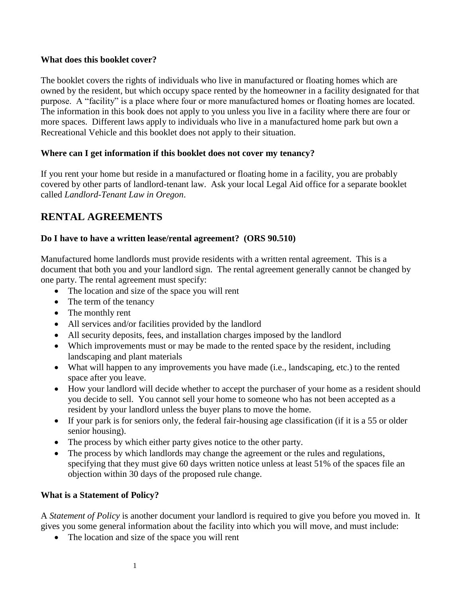#### **What does this booklet cover?**

The booklet covers the rights of individuals who live in manufactured or floating homes which are owned by the resident, but which occupy space rented by the homeowner in a facility designated for that purpose. A "facility" is a place where four or more manufactured homes or floating homes are located. The information in this book does not apply to you unless you live in a facility where there are four or more spaces. Different laws apply to individuals who live in a manufactured home park but own a Recreational Vehicle and this booklet does not apply to their situation.

#### **Where can I get information if this booklet does not cover my tenancy?**

If you rent your home but reside in a manufactured or floating home in a facility, you are probably covered by other parts of landlord-tenant law. Ask your local Legal Aid office for a separate booklet called *Landlord-Tenant Law in Oregon*.

# **RENTAL AGREEMENTS**

#### **Do I have to have a written lease/rental agreement? (ORS 90.510)**

Manufactured home landlords must provide residents with a written rental agreement. This is a document that both you and your landlord sign. The rental agreement generally cannot be changed by one party. The rental agreement must specify:

- The location and size of the space you will rent
- The term of the tenancy
- The monthly rent
- All services and/or facilities provided by the landlord
- All security deposits, fees, and installation charges imposed by the landlord
- Which improvements must or may be made to the rented space by the resident, including landscaping and plant materials
- What will happen to any improvements you have made (i.e., landscaping, etc.) to the rented space after you leave.
- How your landlord will decide whether to accept the purchaser of your home as a resident should you decide to sell. You cannot sell your home to someone who has not been accepted as a resident by your landlord unless the buyer plans to move the home.
- If your park is for seniors only, the federal fair-housing age classification (if it is a 55 or older senior housing).
- The process by which either party gives notice to the other party.
- The process by which landlords may change the agreement or the rules and regulations, specifying that they must give 60 days written notice unless at least 51% of the spaces file an objection within 30 days of the proposed rule change.

#### **What is a Statement of Policy?**

A *Statement of Policy* is another document your landlord is required to give you before you moved in. It gives you some general information about the facility into which you will move, and must include:

• The location and size of the space you will rent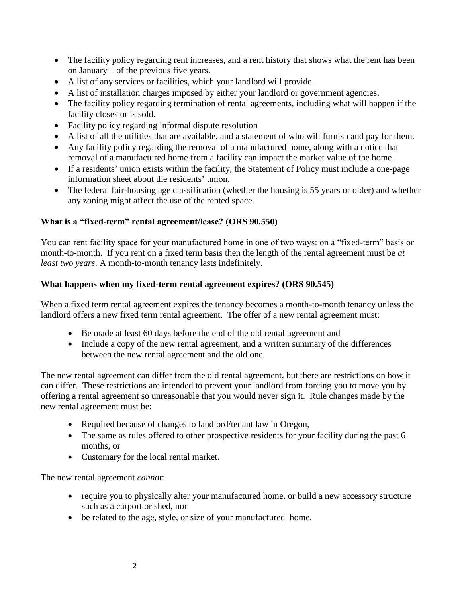- The facility policy regarding rent increases, and a rent history that shows what the rent has been on January 1 of the previous five years.
- A list of any services or facilities, which your landlord will provide.
- A list of installation charges imposed by either your landlord or government agencies.
- The facility policy regarding termination of rental agreements, including what will happen if the facility closes or is sold.
- Facility policy regarding informal dispute resolution
- A list of all the utilities that are available, and a statement of who will furnish and pay for them.
- Any facility policy regarding the removal of a manufactured home, along with a notice that removal of a manufactured home from a facility can impact the market value of the home.
- If a residents' union exists within the facility, the Statement of Policy must include a one-page information sheet about the residents' union.
- The federal fair-housing age classification (whether the housing is 55 years or older) and whether any zoning might affect the use of the rented space.

#### **What is a "fixed-term" rental agreement/lease? (ORS 90.550)**

You can rent facility space for your manufactured home in one of two ways: on a "fixed-term" basis or month-to-month. If you rent on a fixed term basis then the length of the rental agreement must be *at least two years*. A month-to-month tenancy lasts indefinitely.

#### **What happens when my fixed-term rental agreement expires? (ORS 90.545)**

When a fixed term rental agreement expires the tenancy becomes a month-to-month tenancy unless the landlord offers a new fixed term rental agreement. The offer of a new rental agreement must:

- Be made at least 60 days before the end of the old rental agreement and
- Include a copy of the new rental agreement, and a written summary of the differences between the new rental agreement and the old one.

The new rental agreement can differ from the old rental agreement, but there are restrictions on how it can differ. These restrictions are intended to prevent your landlord from forcing you to move you by offering a rental agreement so unreasonable that you would never sign it. Rule changes made by the new rental agreement must be:

- Required because of changes to landlord/tenant law in Oregon,
- The same as rules offered to other prospective residents for your facility during the past 6 months, or
- Customary for the local rental market.

The new rental agreement *cannot*:

- require you to physically alter your manufactured home, or build a new accessory structure such as a carport or shed, nor
- be related to the age, style, or size of your manufactured home.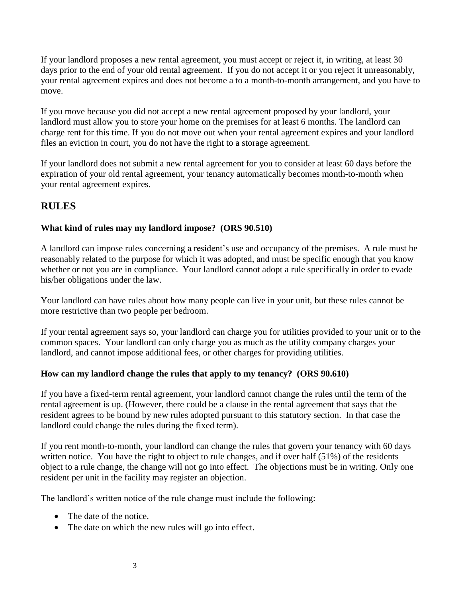If your landlord proposes a new rental agreement, you must accept or reject it, in writing, at least 30 days prior to the end of your old rental agreement. If you do not accept it or you reject it unreasonably, your rental agreement expires and does not become a to a month-to-month arrangement, and you have to move.

If you move because you did not accept a new rental agreement proposed by your landlord, your landlord must allow you to store your home on the premises for at least 6 months. The landlord can charge rent for this time. If you do not move out when your rental agreement expires and your landlord files an eviction in court, you do not have the right to a storage agreement.

If your landlord does not submit a new rental agreement for you to consider at least 60 days before the expiration of your old rental agreement, your tenancy automatically becomes month-to-month when your rental agreement expires.

# **RULES**

#### **What kind of rules may my landlord impose? (ORS 90.510)**

A landlord can impose rules concerning a resident's use and occupancy of the premises. A rule must be reasonably related to the purpose for which it was adopted, and must be specific enough that you know whether or not you are in compliance. Your landlord cannot adopt a rule specifically in order to evade his/her obligations under the law.

Your landlord can have rules about how many people can live in your unit, but these rules cannot be more restrictive than two people per bedroom.

If your rental agreement says so, your landlord can charge you for utilities provided to your unit or to the common spaces. Your landlord can only charge you as much as the utility company charges your landlord, and cannot impose additional fees, or other charges for providing utilities.

#### **How can my landlord change the rules that apply to my tenancy? (ORS 90.610)**

If you have a fixed-term rental agreement, your landlord cannot change the rules until the term of the rental agreement is up. (However, there could be a clause in the rental agreement that says that the resident agrees to be bound by new rules adopted pursuant to this statutory section. In that case the landlord could change the rules during the fixed term).

If you rent month-to-month, your landlord can change the rules that govern your tenancy with 60 days written notice. You have the right to object to rule changes, and if over half (51%) of the residents object to a rule change, the change will not go into effect. The objections must be in writing. Only one resident per unit in the facility may register an objection.

The landlord's written notice of the rule change must include the following:

- The date of the notice.
- The date on which the new rules will go into effect.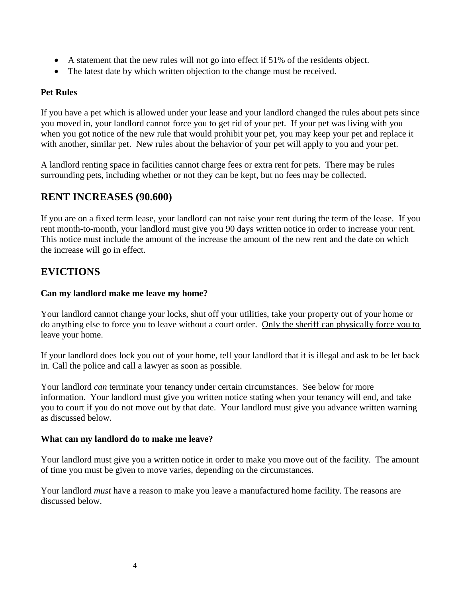- A statement that the new rules will not go into effect if 51% of the residents object.
- The latest date by which written objection to the change must be received.

#### **Pet Rules**

If you have a pet which is allowed under your lease and your landlord changed the rules about pets since you moved in, your landlord cannot force you to get rid of your pet. If your pet was living with you when you got notice of the new rule that would prohibit your pet, you may keep your pet and replace it with another, similar pet. New rules about the behavior of your pet will apply to you and your pet.

A landlord renting space in facilities cannot charge fees or extra rent for pets. There may be rules surrounding pets, including whether or not they can be kept, but no fees may be collected.

# **RENT INCREASES (90.600)**

If you are on a fixed term lease, your landlord can not raise your rent during the term of the lease. If you rent month-to-month, your landlord must give you 90 days written notice in order to increase your rent. This notice must include the amount of the increase the amount of the new rent and the date on which the increase will go in effect.

# **EVICTIONS**

#### **Can my landlord make me leave my home?**

Your landlord cannot change your locks, shut off your utilities, take your property out of your home or do anything else to force you to leave without a court order. Only the sheriff can physically force you to leave your home.

If your landlord does lock you out of your home, tell your landlord that it is illegal and ask to be let back in. Call the police and call a lawyer as soon as possible.

Your landlord *can* terminate your tenancy under certain circumstances. See below for more information. Your landlord must give you written notice stating when your tenancy will end, and take you to court if you do not move out by that date. Your landlord must give you advance written warning as discussed below.

#### **What can my landlord do to make me leave?**

Your landlord must give you a written notice in order to make you move out of the facility. The amount of time you must be given to move varies, depending on the circumstances.

Your landlord *must* have a reason to make you leave a manufactured home facility. The reasons are discussed below.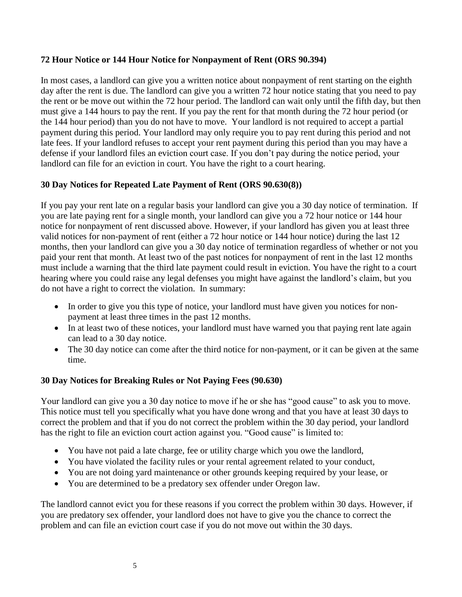#### **72 Hour Notice or 144 Hour Notice for Nonpayment of Rent (ORS 90.394)**

In most cases, a landlord can give you a written notice about nonpayment of rent starting on the eighth day after the rent is due. The landlord can give you a written 72 hour notice stating that you need to pay the rent or be move out within the 72 hour period. The landlord can wait only until the fifth day, but then must give a 144 hours to pay the rent. If you pay the rent for that month during the 72 hour period (or the 144 hour period) than you do not have to move. Your landlord is not required to accept a partial payment during this period. Your landlord may only require you to pay rent during this period and not late fees. If your landlord refuses to accept your rent payment during this period than you may have a defense if your landlord files an eviction court case. If you don't pay during the notice period, your landlord can file for an eviction in court. You have the right to a court hearing.

#### **30 Day Notices for Repeated Late Payment of Rent (ORS 90.630(8))**

If you pay your rent late on a regular basis your landlord can give you a 30 day notice of termination. If you are late paying rent for a single month, your landlord can give you a 72 hour notice or 144 hour notice for nonpayment of rent discussed above. However, if your landlord has given you at least three valid notices for non-payment of rent (either a 72 hour notice or 144 hour notice) during the last 12 months, then your landlord can give you a 30 day notice of termination regardless of whether or not you paid your rent that month. At least two of the past notices for nonpayment of rent in the last 12 months must include a warning that the third late payment could result in eviction. You have the right to a court hearing where you could raise any legal defenses you might have against the landlord's claim, but you do not have a right to correct the violation. In summary:

- In order to give you this type of notice, your landlord must have given you notices for nonpayment at least three times in the past 12 months.
- In at least two of these notices, your landlord must have warned you that paying rent late again can lead to a 30 day notice.
- The 30 day notice can come after the third notice for non-payment, or it can be given at the same time.

#### **30 Day Notices for Breaking Rules or Not Paying Fees (90.630)**

Your landlord can give you a 30 day notice to move if he or she has "good cause" to ask you to move. This notice must tell you specifically what you have done wrong and that you have at least 30 days to correct the problem and that if you do not correct the problem within the 30 day period, your landlord has the right to file an eviction court action against you. "Good cause" is limited to:

- You have not paid a late charge, fee or utility charge which you owe the landlord,
- You have violated the facility rules or your rental agreement related to your conduct,
- You are not doing yard maintenance or other grounds keeping required by your lease, or
- You are determined to be a predatory sex offender under Oregon law.

The landlord cannot evict you for these reasons if you correct the problem within 30 days. However, if you are predatory sex offender, your landlord does not have to give you the chance to correct the problem and can file an eviction court case if you do not move out within the 30 days.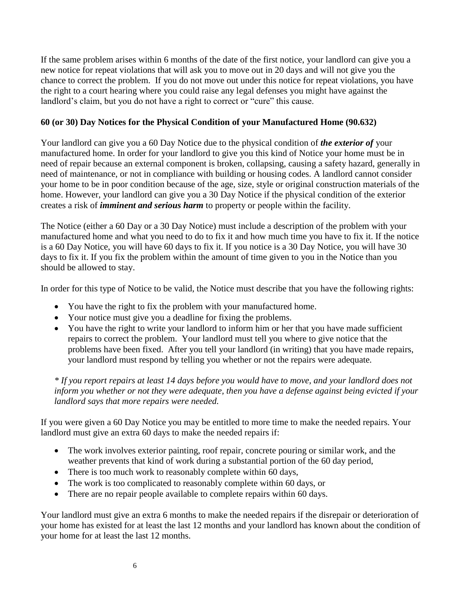If the same problem arises within 6 months of the date of the first notice, your landlord can give you a new notice for repeat violations that will ask you to move out in 20 days and will not give you the chance to correct the problem. If you do not move out under this notice for repeat violations, you have the right to a court hearing where you could raise any legal defenses you might have against the landlord's claim, but you do not have a right to correct or "cure" this cause.

#### **60 (or 30) Day Notices for the Physical Condition of your Manufactured Home (90.632)**

Your landlord can give you a 60 Day Notice due to the physical condition of *the exterior of* your manufactured home. In order for your landlord to give you this kind of Notice your home must be in need of repair because an external component is broken, collapsing, causing a safety hazard, generally in need of maintenance, or not in compliance with building or housing codes. A landlord cannot consider your home to be in poor condition because of the age, size, style or original construction materials of the home. However, your landlord can give you a 30 Day Notice if the physical condition of the exterior creates a risk of *imminent and serious harm* to property or people within the facility.

The Notice (either a 60 Day or a 30 Day Notice) must include a description of the problem with your manufactured home and what you need to do to fix it and how much time you have to fix it. If the notice is a 60 Day Notice, you will have 60 days to fix it. If you notice is a 30 Day Notice, you will have 30 days to fix it. If you fix the problem within the amount of time given to you in the Notice than you should be allowed to stay.

In order for this type of Notice to be valid, the Notice must describe that you have the following rights:

- You have the right to fix the problem with your manufactured home.
- Your notice must give you a deadline for fixing the problems.
- You have the right to write your landlord to inform him or her that you have made sufficient repairs to correct the problem. Your landlord must tell you where to give notice that the problems have been fixed. After you tell your landlord (in writing) that you have made repairs, your landlord must respond by telling you whether or not the repairs were adequate*.*

*\* If you report repairs at least 14 days before you would have to move, and your landlord does not inform you whether or not they were adequate, then you have a defense against being evicted if your landlord says that more repairs were needed.*

If you were given a 60 Day Notice you may be entitled to more time to make the needed repairs. Your landlord must give an extra 60 days to make the needed repairs if:

- The work involves exterior painting, roof repair, concrete pouring or similar work, and the weather prevents that kind of work during a substantial portion of the 60 day period,
- There is too much work to reasonably complete within 60 days,
- The work is too complicated to reasonably complete within 60 days, or
- There are no repair people available to complete repairs within 60 days.

Your landlord must give an extra 6 months to make the needed repairs if the disrepair or deterioration of your home has existed for at least the last 12 months and your landlord has known about the condition of your home for at least the last 12 months.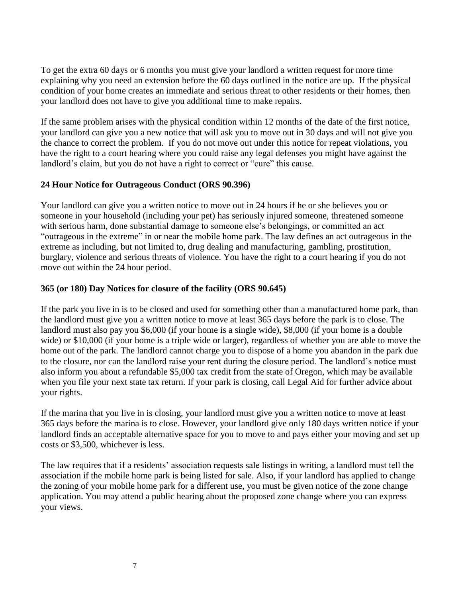To get the extra 60 days or 6 months you must give your landlord a written request for more time explaining why you need an extension before the 60 days outlined in the notice are up. If the physical condition of your home creates an immediate and serious threat to other residents or their homes, then your landlord does not have to give you additional time to make repairs.

If the same problem arises with the physical condition within 12 months of the date of the first notice, your landlord can give you a new notice that will ask you to move out in 30 days and will not give you the chance to correct the problem. If you do not move out under this notice for repeat violations, you have the right to a court hearing where you could raise any legal defenses you might have against the landlord's claim, but you do not have a right to correct or "cure" this cause.

#### **24 Hour Notice for Outrageous Conduct (ORS 90.396)**

Your landlord can give you a written notice to move out in 24 hours if he or she believes you or someone in your household (including your pet) has seriously injured someone, threatened someone with serious harm, done substantial damage to someone else's belongings, or committed an act "outrageous in the extreme" in or near the mobile home park. The law defines an act outrageous in the extreme as including, but not limited to, drug dealing and manufacturing, gambling, prostitution, burglary, violence and serious threats of violence. You have the right to a court hearing if you do not move out within the 24 hour period.

#### **365 (or 180) Day Notices for closure of the facility (ORS 90.645)**

If the park you live in is to be closed and used for something other than a manufactured home park, than the landlord must give you a written notice to move at least 365 days before the park is to close. The landlord must also pay you \$6,000 (if your home is a single wide), \$8,000 (if your home is a double wide) or \$10,000 (if your home is a triple wide or larger), regardless of whether you are able to move the home out of the park. The landlord cannot charge you to dispose of a home you abandon in the park due to the closure, nor can the landlord raise your rent during the closure period. The landlord's notice must also inform you about a refundable \$5,000 tax credit from the state of Oregon, which may be available when you file your next state tax return. If your park is closing, call Legal Aid for further advice about your rights.

If the marina that you live in is closing, your landlord must give you a written notice to move at least 365 days before the marina is to close. However, your landlord give only 180 days written notice if your landlord finds an acceptable alternative space for you to move to and pays either your moving and set up costs or \$3,500, whichever is less.

The law requires that if a residents' association requests sale listings in writing, a landlord must tell the association if the mobile home park is being listed for sale. Also, if your landlord has applied to change the zoning of your mobile home park for a different use, you must be given notice of the zone change application. You may attend a public hearing about the proposed zone change where you can express your views.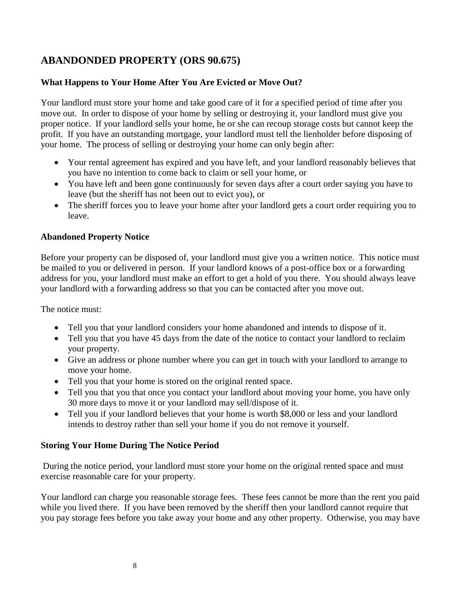# **ABANDONDED PROPERTY (ORS 90.675)**

#### **What Happens to Your Home After You Are Evicted or Move Out?**

Your landlord must store your home and take good care of it for a specified period of time after you move out. In order to dispose of your home by selling or destroying it, your landlord must give you proper notice. If your landlord sells your home, he or she can recoup storage costs but cannot keep the profit. If you have an outstanding mortgage, your landlord must tell the lienholder before disposing of your home. The process of selling or destroying your home can only begin after:

- Your rental agreement has expired and you have left, and your landlord reasonably believes that you have no intention to come back to claim or sell your home, or
- You have left and been gone continuously for seven days after a court order saying you have to leave (but the sheriff has not been out to evict you), or
- The sheriff forces you to leave your home after your landlord gets a court order requiring you to leave.

#### **Abandoned Property Notice**

Before your property can be disposed of, your landlord must give you a written notice. This notice must be mailed to you or delivered in person. If your landlord knows of a post-office box or a forwarding address for you, your landlord must make an effort to get a hold of you there. You should always leave your landlord with a forwarding address so that you can be contacted after you move out.

The notice must:

- Tell you that your landlord considers your home abandoned and intends to dispose of it.
- Tell you that you have 45 days from the date of the notice to contact your landlord to reclaim your property.
- Give an address or phone number where you can get in touch with your landlord to arrange to move your home.
- Tell you that your home is stored on the original rented space.
- Tell you that you that once you contact your landlord about moving your home, you have only 30 more days to move it or your landlord may sell/dispose of it.
- Tell you if your landlord believes that your home is worth \$8,000 or less and your landlord intends to destroy rather than sell your home if you do not remove it yourself.

#### **Storing Your Home During The Notice Period**

During the notice period, your landlord must store your home on the original rented space and must exercise reasonable care for your property.

Your landlord can charge you reasonable storage fees. These fees cannot be more than the rent you paid while you lived there. If you have been removed by the sheriff then your landlord cannot require that you pay storage fees before you take away your home and any other property. Otherwise, you may have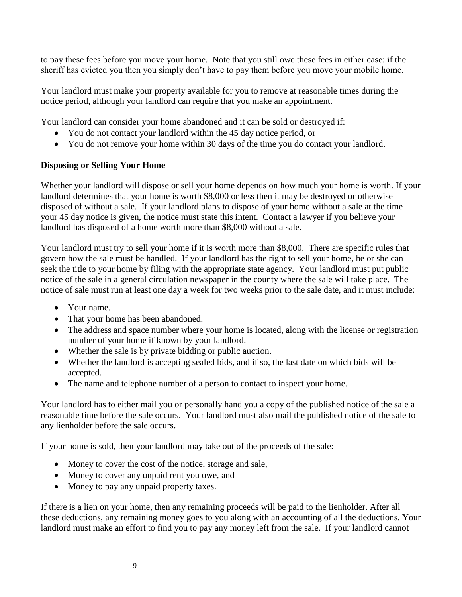to pay these fees before you move your home. Note that you still owe these fees in either case: if the sheriff has evicted you then you simply don't have to pay them before you move your mobile home.

Your landlord must make your property available for you to remove at reasonable times during the notice period, although your landlord can require that you make an appointment.

Your landlord can consider your home abandoned and it can be sold or destroyed if:

- You do not contact your landlord within the 45 day notice period, or
- You do not remove your home within 30 days of the time you do contact your landlord.

#### **Disposing or Selling Your Home**

Whether your landlord will dispose or sell your home depends on how much your home is worth. If your landlord determines that your home is worth \$8,000 or less then it may be destroyed or otherwise disposed of without a sale. If your landlord plans to dispose of your home without a sale at the time your 45 day notice is given, the notice must state this intent. Contact a lawyer if you believe your landlord has disposed of a home worth more than \$8,000 without a sale.

Your landlord must try to sell your home if it is worth more than \$8,000. There are specific rules that govern how the sale must be handled. If your landlord has the right to sell your home, he or she can seek the title to your home by filing with the appropriate state agency. Your landlord must put public notice of the sale in a general circulation newspaper in the county where the sale will take place. The notice of sale must run at least one day a week for two weeks prior to the sale date, and it must include:

- Your name.
- That your home has been abandoned.
- The address and space number where your home is located, along with the license or registration number of your home if known by your landlord.
- Whether the sale is by private bidding or public auction.
- Whether the landlord is accepting sealed bids, and if so, the last date on which bids will be accepted.
- The name and telephone number of a person to contact to inspect your home.

Your landlord has to either mail you or personally hand you a copy of the published notice of the sale a reasonable time before the sale occurs. Your landlord must also mail the published notice of the sale to any lienholder before the sale occurs.

If your home is sold, then your landlord may take out of the proceeds of the sale:

- Money to cover the cost of the notice, storage and sale,
- Money to cover any unpaid rent you owe, and
- Money to pay any unpaid property taxes.

If there is a lien on your home, then any remaining proceeds will be paid to the lienholder. After all these deductions, any remaining money goes to you along with an accounting of all the deductions. Your landlord must make an effort to find you to pay any money left from the sale. If your landlord cannot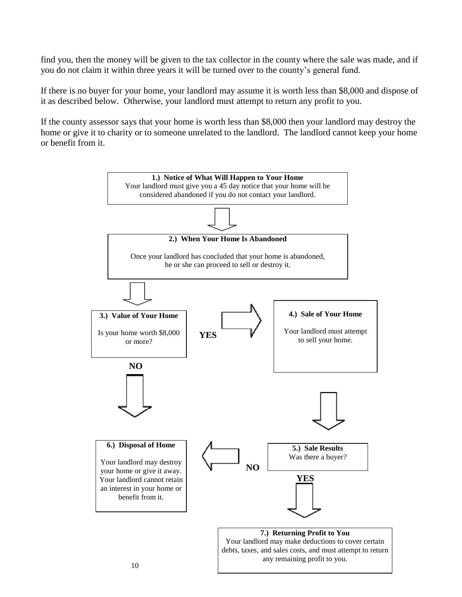find you, then the money will be given to the tax collector in the county where the sale was made, and if you do not claim it within three years it will be turned over to the county's general fund.

If there is no buyer for your home, your landlord may assume it is worth less than \$8,000 and dispose of it as described below. Otherwise, your landlord must attempt to return any profit to you.

If the county assessor says that your home is worth less than \$8,000 then your landlord may destroy the home or give it to charity or to someone unrelated to the landlord. The landlord cannot keep your home or benefit from it.

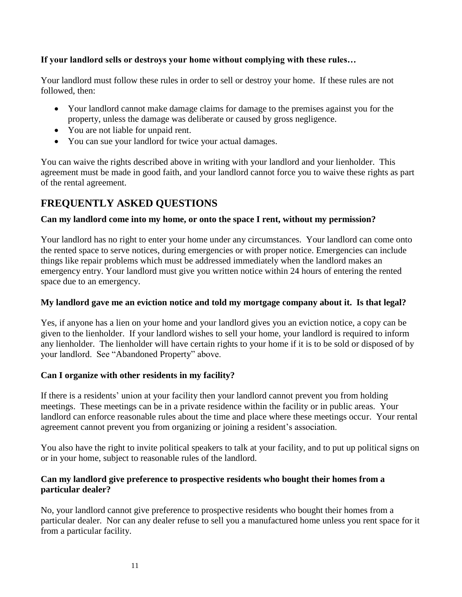#### **If your landlord sells or destroys your home without complying with these rules…**

Your landlord must follow these rules in order to sell or destroy your home. If these rules are not followed, then:

- Your landlord cannot make damage claims for damage to the premises against you for the property, unless the damage was deliberate or caused by gross negligence.
- You are not liable for unpaid rent.
- You can sue your landlord for twice your actual damages.

You can waive the rights described above in writing with your landlord and your lienholder. This agreement must be made in good faith, and your landlord cannot force you to waive these rights as part of the rental agreement.

# **FREQUENTLY ASKED QUESTIONS**

#### **Can my landlord come into my home, or onto the space I rent, without my permission?**

Your landlord has no right to enter your home under any circumstances. Your landlord can come onto the rented space to serve notices, during emergencies or with proper notice. Emergencies can include things like repair problems which must be addressed immediately when the landlord makes an emergency entry. Your landlord must give you written notice within 24 hours of entering the rented space due to an emergency.

#### **My landlord gave me an eviction notice and told my mortgage company about it. Is that legal?**

Yes, if anyone has a lien on your home and your landlord gives you an eviction notice, a copy can be given to the lienholder. If your landlord wishes to sell your home, your landlord is required to inform any lienholder. The lienholder will have certain rights to your home if it is to be sold or disposed of by your landlord. See "Abandoned Property" above.

#### **Can I organize with other residents in my facility?**

If there is a residents' union at your facility then your landlord cannot prevent you from holding meetings. These meetings can be in a private residence within the facility or in public areas. Your landlord can enforce reasonable rules about the time and place where these meetings occur. Your rental agreement cannot prevent you from organizing or joining a resident's association.

You also have the right to invite political speakers to talk at your facility, and to put up political signs on or in your home, subject to reasonable rules of the landlord.

#### **Can my landlord give preference to prospective residents who bought their homes from a particular dealer?**

No, your landlord cannot give preference to prospective residents who bought their homes from a particular dealer. Nor can any dealer refuse to sell you a manufactured home unless you rent space for it from a particular facility.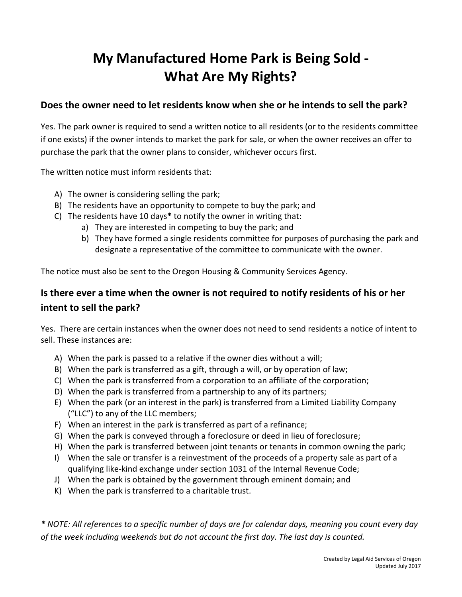# **My Manufactured Home Park is Being Sold - What Are My Rights?**

# **Does the owner need to let residents know when she or he intends to sell the park?**

Yes. The park owner is required to send a written notice to all residents (or to the residents committee if one exists) if the owner intends to market the park for sale, or when the owner receives an offer to purchase the park that the owner plans to consider, whichever occurs first.

The written notice must inform residents that:

- A) The owner is considering selling the park;
- B) The residents have an opportunity to compete to buy the park; and
- C) The residents have 10 days**\*** to notify the owner in writing that:
	- a) They are interested in competing to buy the park; and
	- b) They have formed a single residents committee for purposes of purchasing the park and designate a representative of the committee to communicate with the owner.

The notice must also be sent to the Oregon Housing & Community Services Agency.

# **Is there ever a time when the owner is not required to notify residents of his or her intent to sell the park?**

Yes. There are certain instances when the owner does not need to send residents a notice of intent to sell. These instances are:

- A) When the park is passed to a relative if the owner dies without a will;
- B) When the park is transferred as a gift, through a will, or by operation of law;
- C) When the park is transferred from a corporation to an affiliate of the corporation;
- D) When the park is transferred from a partnership to any of its partners;
- E) When the park (or an interest in the park) is transferred from a Limited Liability Company ("LLC") to any of the LLC members;
- F) When an interest in the park is transferred as part of a refinance;
- G) When the park is conveyed through a foreclosure or deed in lieu of foreclosure;
- H) When the park is transferred between joint tenants or tenants in common owning the park;
- I) When the sale or transfer is a reinvestment of the proceeds of a property sale as part of a qualifying like-kind exchange under section 1031 of the Internal Revenue Code;
- J) When the park is obtained by the government through eminent domain; and
- K) When the park is transferred to a charitable trust.

*\* NOTE: All references to a specific number of days are for calendar days, meaning you count every day of the week including weekends but do not account the first day. The last day is counted.*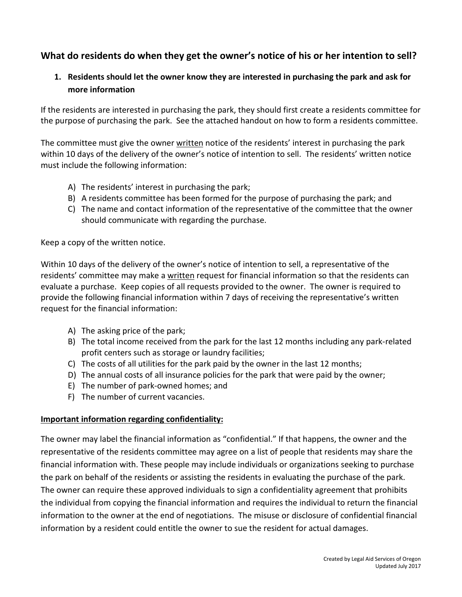# **What do residents do when they get the owner's notice of his or her intention to sell?**

# **1. Residents should let the owner know they are interested in purchasing the park and ask for more information**

If the residents are interested in purchasing the park, they should first create a residents committee for the purpose of purchasing the park. See the attached handout on how to form a residents committee.

The committee must give the owner written notice of the residents' interest in purchasing the park within 10 days of the delivery of the owner's notice of intention to sell. The residents' written notice must include the following information:

- A) The residents' interest in purchasing the park;
- B) A residents committee has been formed for the purpose of purchasing the park; and
- C) The name and contact information of the representative of the committee that the owner should communicate with regarding the purchase.

Keep a copy of the written notice.

Within 10 days of the delivery of the owner's notice of intention to sell, a representative of the residents' committee may make a written request for financial information so that the residents can evaluate a purchase. Keep copies of all requests provided to the owner. The owner is required to provide the following financial information within 7 days of receiving the representative's written request for the financial information:

- A) The asking price of the park;
- B) The total income received from the park for the last 12 months including any park-related profit centers such as storage or laundry facilities;
- C) The costs of all utilities for the park paid by the owner in the last 12 months;
- D) The annual costs of all insurance policies for the park that were paid by the owner;
- E) The number of park-owned homes; and
- F) The number of current vacancies.

#### **Important information regarding confidentiality:**

The owner may label the financial information as "confidential." If that happens, the owner and the representative of the residents committee may agree on a list of people that residents may share the financial information with. These people may include individuals or organizations seeking to purchase the park on behalf of the residents or assisting the residents in evaluating the purchase of the park. The owner can require these approved individuals to sign a confidentiality agreement that prohibits the individual from copying the financial information and requires the individual to return the financial information to the owner at the end of negotiations. The misuse or disclosure of confidential financial information by a resident could entitle the owner to sue the resident for actual damages.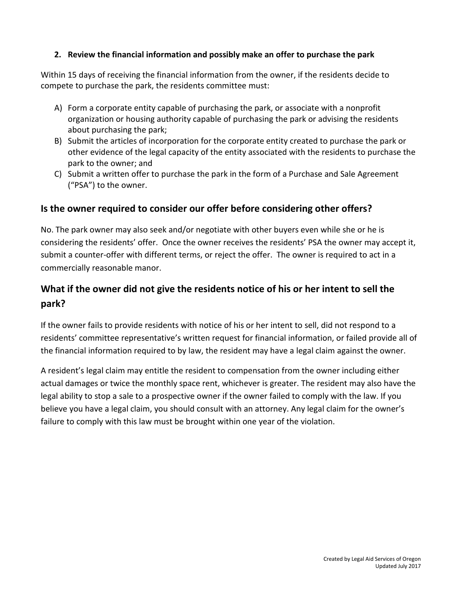#### **2. Review the financial information and possibly make an offer to purchase the park**

Within 15 days of receiving the financial information from the owner, if the residents decide to compete to purchase the park, the residents committee must:

- A) Form a corporate entity capable of purchasing the park, or associate with a nonprofit organization or housing authority capable of purchasing the park or advising the residents about purchasing the park;
- B) Submit the articles of incorporation for the corporate entity created to purchase the park or other evidence of the legal capacity of the entity associated with the residents to purchase the park to the owner; and
- C) Submit a written offer to purchase the park in the form of a Purchase and Sale Agreement ("PSA") to the owner.

## **Is the owner required to consider our offer before considering other offers?**

No. The park owner may also seek and/or negotiate with other buyers even while she or he is considering the residents' offer. Once the owner receives the residents' PSA the owner may accept it, submit a counter-offer with different terms, or reject the offer. The owner is required to act in a commercially reasonable manor.

# **What if the owner did not give the residents notice of his or her intent to sell the park?**

If the owner fails to provide residents with notice of his or her intent to sell, did not respond to a residents' committee representative's written request for financial information, or failed provide all of the financial information required to by law, the resident may have a legal claim against the owner.

A resident's legal claim may entitle the resident to compensation from the owner including either actual damages or twice the monthly space rent, whichever is greater. The resident may also have the legal ability to stop a sale to a prospective owner if the owner failed to comply with the law. If you believe you have a legal claim, you should consult with an attorney. Any legal claim for the owner's failure to comply with this law must be brought within one year of the violation.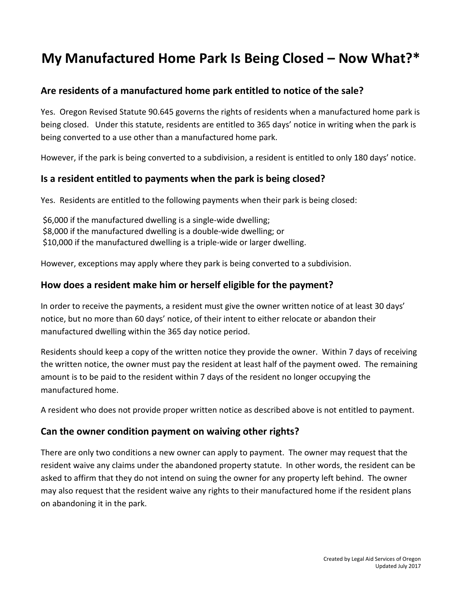# **My Manufactured Home Park Is Being Closed – Now What?\***

# **Are residents of a manufactured home park entitled to notice of the sale?**

Yes. Oregon Revised Statute 90.645 governs the rights of residents when a manufactured home park is being closed. Under this statute, residents are entitled to 365 days' notice in writing when the park is being converted to a use other than a manufactured home park.

However, if the park is being converted to a subdivision, a resident is entitled to only 180 days' notice.

# **Is a resident entitled to payments when the park is being closed?**

Yes. Residents are entitled to the following payments when their park is being closed:

\$6,000 if the manufactured dwelling is a single-wide dwelling; \$8,000 if the manufactured dwelling is a double-wide dwelling; or \$10,000 if the manufactured dwelling is a triple-wide or larger dwelling.

However, exceptions may apply where they park is being converted to a subdivision.

# **How does a resident make him or herself eligible for the payment?**

In order to receive the payments, a resident must give the owner written notice of at least 30 days' notice, but no more than 60 days' notice, of their intent to either relocate or abandon their manufactured dwelling within the 365 day notice period.

Residents should keep a copy of the written notice they provide the owner. Within 7 days of receiving the written notice, the owner must pay the resident at least half of the payment owed. The remaining amount is to be paid to the resident within 7 days of the resident no longer occupying the manufactured home.

A resident who does not provide proper written notice as described above is not entitled to payment.

# **Can the owner condition payment on waiving other rights?**

There are only two conditions a new owner can apply to payment. The owner may request that the resident waive any claims under the abandoned property statute. In other words, the resident can be asked to affirm that they do not intend on suing the owner for any property left behind. The owner may also request that the resident waive any rights to their manufactured home if the resident plans on abandoning it in the park.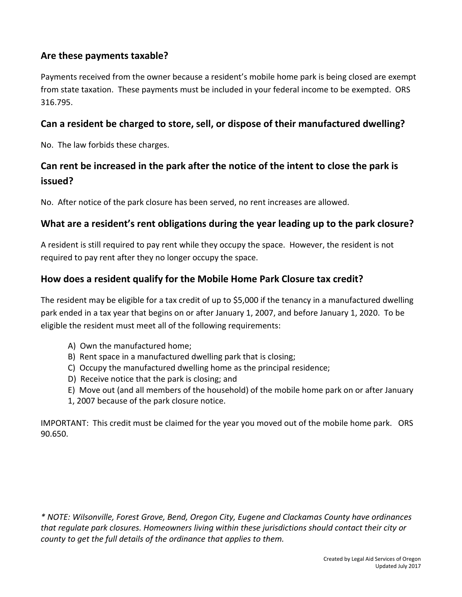# **Are these payments taxable?**

Payments received from the owner because a resident's mobile home park is being closed are exempt from state taxation. These payments must be included in your federal income to be exempted. ORS 316.795.

# **Can a resident be charged to store, sell, or dispose of their manufactured dwelling?**

No. The law forbids these charges.

# **Can rent be increased in the park after the notice of the intent to close the park is issued?**

No. After notice of the park closure has been served, no rent increases are allowed.

# **What are a resident's rent obligations during the year leading up to the park closure?**

A resident is still required to pay rent while they occupy the space. However, the resident is not required to pay rent after they no longer occupy the space.

# **How does a resident qualify for the Mobile Home Park Closure tax credit?**

The resident may be eligible for a tax credit of up to \$5,000 if the tenancy in a manufactured dwelling park ended in a tax year that begins on or after January 1, 2007, and before January 1, 2020. To be eligible the resident must meet all of the following requirements:

- A) Own the manufactured home;
- B) Rent space in a manufactured dwelling park that is closing;
- C) Occupy the manufactured dwelling home as the principal residence;
- D) Receive notice that the park is closing; and
- E) Move out (and all members of the household) of the mobile home park on or after January
- 1, 2007 because of the park closure notice.

IMPORTANT: This credit must be claimed for the year you moved out of the mobile home park. ORS 90.650.

*\* NOTE: Wilsonville, Forest Grove, Bend, Oregon City, Eugene and Clackamas County have ordinances that regulate park closures. Homeowners living within these jurisdictions should contact their city or county to get the full details of the ordinance that applies to them.*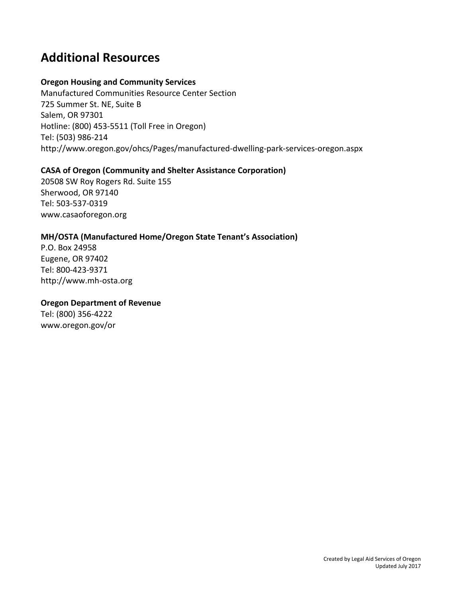# **Additional Resources**

#### **Oregon Housing and Community Services**

Manufactured Communities Resource Center Section 725 Summer St. NE, Suite B Salem, OR 97301 Hotline: (800) 453-5511 (Toll Free in Oregon) Tel: (503) 986-214 http://www.oregon.gov/ohcs/Pages/manufactured-dwelling-park-services-oregon.aspx

#### **CASA of Oregon (Community and Shelter Assistance Corporation)**

20508 SW Roy Rogers Rd. Suite 155 Sherwood, OR 97140 Tel: 503-537-0319 www.casaoforegon.org

#### **MH/OSTA (Manufactured Home/Oregon State Tenant's Association)**

P.O. Box 24958 Eugene, OR 97402 Tel: 800-423-9371 http://www.mh-osta.org

#### **Oregon Department of Revenue**

Tel: (800) 356-4222 www.oregon.gov/or